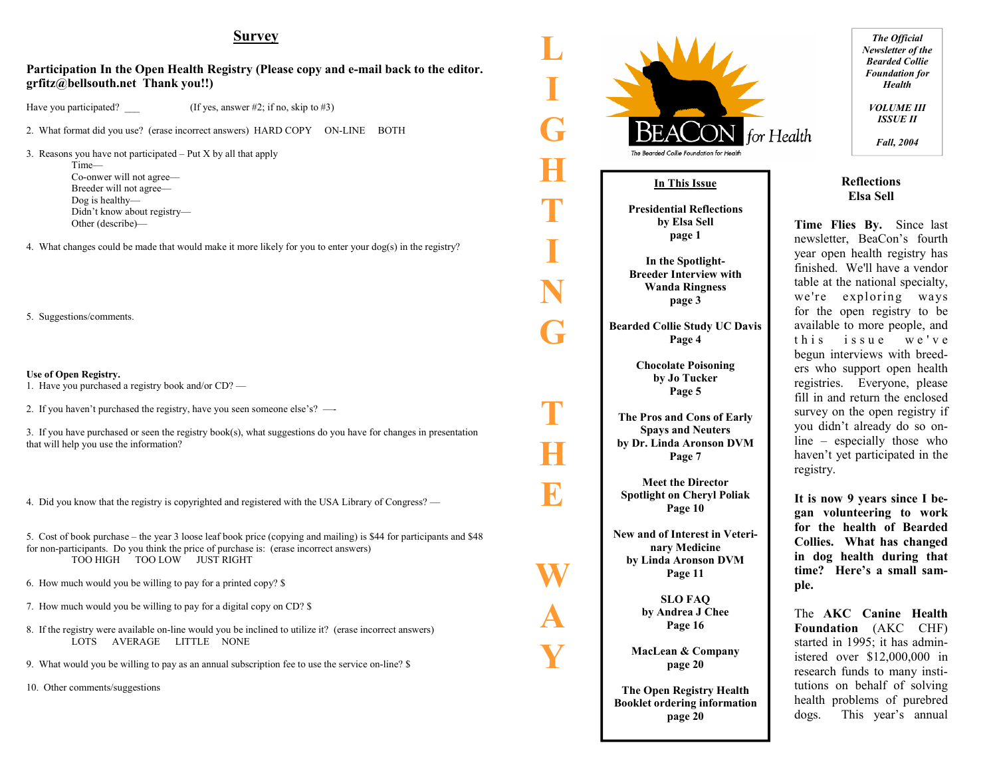## **Survey**

#### **Participation In the Open Health Registry (Please copy and e-mail back to the editor. grfitz@bellsouth.net Thank you!!)**

Have you participated?  $(If yes, answer #2; if no, skip to #3)$ 

2. What format did you use? (erase incorrect answers) HARD COPY ON-LINE BOTH

3. Reasons you have not participated – Put X by all that apply Time—

> Co-onwer will not agree— Breeder will not agree— Dog is healthy— Didn't know about registry— Other (describe)—

4. What changes could be made that would make it more likely for you to enter your dog(s) in the registry?

5. Suggestions/comments.

#### **Use of Open Registry.**

1. Have you purchased a registry book and/or CD? —

2. If you haven't purchased the registry, have you seen someone else's? —-

3. If you have purchased or seen the registry book(s), what suggestions do you have for changes in presentation that will help you use the information?

4. Did you know that the registry is copyrighted and registered with the USA Library of Congress? —

5. Cost of book purchase – the year 3 loose leaf book price (copying and mailing) is \$44 for participants and \$48 for non-participants. Do you think the price of purchase is: (erase incorrect answers) TOO HIGH TOO LOW JUST RIGHT

- 6. How much would you be willing to pay for a printed copy? \$
- 7. How much would you be willing to pay for a digital copy on CD? \$
- 8. If the registry were available on-line would you be inclined to utilize it? (erase incorrect answers) LOTS AVERAGE LITTLE NONE
- 9. What would you be willing to pay as an annual subscription fee to use the service on-line? \$
- 10. Other comments/suggestions

**G**  for Health The Bearded Collie Foundation for Healt **H In This Issue Presidential Reflections by Elsa Sell page 1 In the Spotlight-Breeder Interview with N Wanda Ringness page 3 G Bearded Collie Study UC Davis Page 4 Chocolate Poisoning by Jo Tucker Page 5 The Pros and Cons of Early Spays and Neuters by Dr. Linda Aronson DVM H Page 7 Meet the Director Spotlight on Cheryl Poliak Page 10 New and of Interest in Veterinary Medicine** 

**L** 

**I** 

**T** 

**I** 

**T** 

**E** 

**W** 

**A** 

**Y** 

**by Linda Aronson DVM Page 11** 

> **SLO FAQ by Andrea J Chee Page 16**

**MacLean & Company page 20** 

**The Open Registry Health Booklet ordering information page 20**

*The Official Newsletter of the Bearded Collie Foundation for Health VOLUME III ISSUE II Fall, 2004* 

#### **Reflections Elsa Sell**

**Time Flies By.** Since last newsletter, BeaCon's fourth year open health registry has finished. We'll have a vendor table at the national specialty, we're exploring ways for the open registry to be available to more people, and this issue we've begun interviews with breeders who support open health registries. Everyone, please fill in and return the enclosed survey on the open registry if you didn't already do so online – especially those who haven't yet participated in the registry.

**It is now 9 years since I began volunteering to work for the health of Bearded Collies. What has changed in dog health during that time? Here's a small sample.** 

The **AKC Canine Health Foundation** (AKC CHF) started in 1995; it has administered over \$12,000,000 in research funds to many institutions on behalf of solving health problems of purebred dogs. This year's annual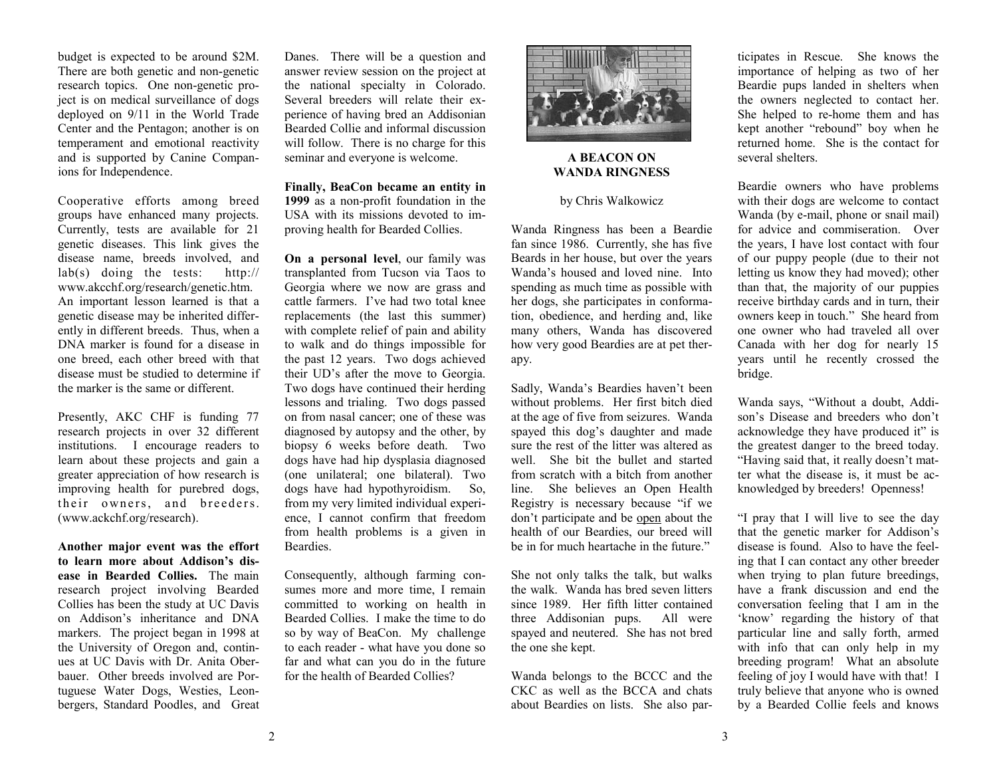budget is expected to be around \$2M. There are both genetic and non-genetic research topics. One non-genetic project is on medical surveillance of dogs deployed on 9/11 in the World Trade Center and the Pentagon; another is on temperament and emotional reactivity and is supported by Canine Companions for Independence.

Cooperative efforts among breed groups have enhanced many projects. Currently, tests are available for 21 genetic diseases. This link gives the disease name, breeds involved, and lab(s) doing the tests: http:// www.akcchf.org/research/genetic.htm. An important lesson learned is that a genetic disease may be inherited differently in different breeds. Thus, when a DNA marker is found for a disease in one breed, each other breed with that disease must be studied to determine if the marker is the same or different.

Presently, AKC CHF is funding 77 research projects in over 32 different institutions. I encourage readers to learn about these projects and gain a greater appreciation of how research is improving health for purebred dogs, their owners, and breeders. (www.ackchf.org/research).

**Another major event was the effort to learn more about Addison's disease in Bearded Collies.** The main research project involving Bearded Collies has been the study at UC Davis on Addison's inheritance and DNA markers. The project began in 1998 at the University of Oregon and, continues at UC Davis with Dr. Anita Oberbauer. Other breeds involved are Portuguese Water Dogs, Westies, Leonbergers, Standard Poodles, and Great Danes. There will be a question and answer review session on the project at the national specialty in Colorado. Several breeders will relate their experience of having bred an Addisonian Bearded Collie and informal discussion will follow. There is no charge for this seminar and everyone is welcome.

**Finally, BeaCon became an entity in 1999** as a non-profit foundation in the USA with its missions devoted to improving health for Bearded Collies.

**On a personal level**, our family was transplanted from Tucson via Taos to Georgia where we now are grass and cattle farmers. I've had two total knee replacements (the last this summer) with complete relief of pain and ability to walk and do things impossible for the past 12 years. Two dogs achieved their UD's after the move to Georgia. Two dogs have continued their herding lessons and trialing. Two dogs passed on from nasal cancer; one of these was diagnosed by autopsy and the other, by biopsy 6 weeks before death. Two dogs have had hip dysplasia diagnosed (one unilateral; one bilateral). Two dogs have had hypothyroidism. So, from my very limited individual experience, I cannot confirm that freedom from health problems is a given in Beardies.

Consequently, although farming consumes more and more time, I remain committed to working on health in Bearded Collies. I make the time to do so by way of BeaCon. My challenge to each reader - what have you done so far and what can you do in the future for the health of Bearded Collies?



**A BEACON ON WANDA RINGNESS**

#### by Chris Walkowicz

Wanda Ringness has been a Beardie fan since 1986. Currently, she has five Beards in her house, but over the years Wanda's housed and loved nine. Into spending as much time as possible with her dogs, she participates in conformation, obedience, and herding and, like many others, Wanda has discovered how very good Beardies are at pet therapy.

Sadly, Wanda's Beardies haven't been without problems. Her first bitch died at the age of five from seizures. Wanda spayed this dog's daughter and made sure the rest of the litter was altered as well. She bit the bullet and started from scratch with a bitch from another line. She believes an Open Health Registry is necessary because "if we don't participate and be open about the health of our Beardies, our breed will be in for much heartache in the future."

She not only talks the talk, but walks the walk. Wanda has bred seven litters since 1989. Her fifth litter contained three Addisonian pups. All were spayed and neutered. She has not bred the one she kept.

Wanda belongs to the BCCC and the CKC as well as the BCCA and chats about Beardies on lists. She also par-

ticipates in Rescue. She knows the<br>importance of helping as two of her<br>Beardie pups landed in shelters when<br>the owners neglected to contact her.<br>She helped to re-home them and has<br>kept another "rebound" boy when he<br>returne

son's Disease and breeders who don't acknowledge they have produced it" is the greatest danger to the breed today. "Having said that, it really doesn't matter what the disease is, it must be ac-

knowledged by breeders! Openness!<br>
"I pray that I will live to see the day<br>
that the genetic marker for Addison's disease is found. Also to have the feeling that I can contact any other breeder<br>when trying to plan future breedings,<br>have a frank discussion and end the<br>conversation feeling that I am in the<br>'know' regarding the history of that<br>particular line and sally forth,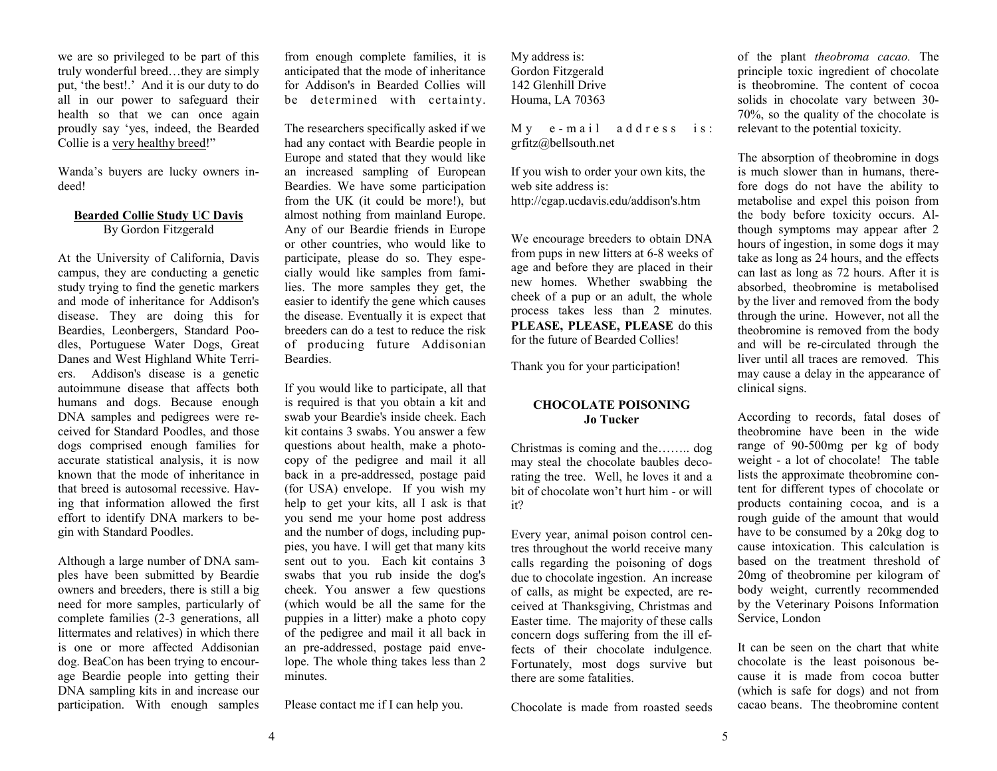we are so privileged to be part of this truly wonderful breed…they are simply put, 'the best!.' And it is our duty to do all in our power to safeguard their health so that we can once again proudly say 'yes, indeed, the Bearded Collie is a very healthy breed!"

Wanda's buyers are lucky owners indeed!

#### **Bearded Collie Study UC Davis** By Gordon Fitzgerald

At the University of California, Davis campus, they are conducting a genetic study trying to find the genetic markers and mode of inheritance for Addison's disease. They are doing this for Beardies, Leonbergers, Standard Poodles, Portuguese Water Dogs, Great Danes and West Highland White Terriers. Addison's disease is a genetic autoimmune disease that affects both humans and dogs. Because enough DNA samples and pedigrees were received for Standard Poodles, and those dogs comprised enough families for accurate statistical analysis, it is now known that the mode of inheritance in that breed is autosomal recessive. Having that information allowed the first effort to identify DNA markers to begin with Standard Poodles.

Although a large number of DNA samples have been submitted by Beardie owners and breeders, there is still a big need for more samples, particularly of complete families (2-3 generations, all littermates and relatives) in which there is one or more affected Addisonian dog. BeaCon has been trying to encourage Beardie people into getting their DNA sampling kits in and increase our participation. With enough samples from enough complete families, it is anticipated that the mode of inheritance for Addison's in Bearded Collies will be determined with certainty.

The researchers specifically asked if we had any contact with Beardie people in Europe and stated that they would like an increased sampling of European Beardies. We have some participation from the UK (it could be more!), but almost nothing from mainland Europe. Any of our Beardie friends in Europe or other countries, who would like to participate, please do so. They especially would like samples from families. The more samples they get, the easier to identify the gene which causes the disease. Eventually it is expect that breeders can do a test to reduce the risk of producing future Addisonian **Beardies** 

If you would like to participate, all that is required is that you obtain a kit and swab your Beardie's inside cheek. Each kit contains 3 swabs. You answer a few questions about health, make a photocopy of the pedigree and mail it all back in a pre-addressed, postage paid (for USA) envelope. If you wish my help to get your kits, all I ask is that you send me your home post address and the number of dogs, including puppies, you have. I will get that many kits sent out to you. Each kit contains 3 swabs that you rub inside the dog's cheek. You answer a few questions (which would be all the same for the puppies in a litter) make a photo copy of the pedigree and mail it all back in an pre-addressed, postage paid envelope. The whole thing takes less than 2 minutes.

Please contact me if I can help you.

My address is: Gordon Fitzgerald 142 Glenhill Drive Houma, LA 70363

 $M y$  e-mail address is: grfitz@bellsouth.net

If you wish to order your own kits, the web site address is: http://cgap.ucdavis.edu/addison's.htm

We encourage breeders to obtain DNA from pups in new litters at 6-8 weeks of age and before they are placed in their new homes. Whether swabbing the cheek of a pup or an adult, the whole process takes less than 2 minutes. **PLEASE, PLEASE, PLEASE** do this for the future of Bearded Collies!

Thank you for your participation!

## **CHOCOLATE POISONING Jo Tucker**

Christmas is coming and the…….. dog may steal the chocolate baubles decorating the tree. Well, he loves it and a bit of chocolate won't hurt him - or will it?

Every year, animal poison control centres throughout the world receive many calls regarding the poisoning of dogs due to chocolate ingestion. An increase of calls, as might be expected, are received at Thanksgiving, Christmas and Easter time. The majority of these calls concern dogs suffering from the ill effects of their chocolate indulgence. Fortunately, most dogs survive but there are some fatalities.

Chocolate is made from roasted seeds

of the plant *theobroma cacao.* The principle toxic ingredient of chocolate is theobromine. The content of cocoa solids in chocolate vary between 30- 70%, so the quality of the chocolate is relevant to the potential toxicity.

The absorption of theobromine in dogs is much slower than in humans, therefore dogs do not have the ability to metabolise and expel this poison from the body before toxicity occurs. Although symptoms may appear after 2 hours of ingestion, in some dogs it may take as long as 24 hours, and the effects can last as long as 72 hours. After it is absorbed, theobromine is metabolised by the liver and removed from the body through the urine. However, not all the theobromine is removed from the body and will be re-circulated through the liver until all traces are removed. This may cause a delay in the appearance of clinical signs.

According to records, fatal doses of theobromine have been in the wide range of 90-500mg per kg of body weight - a lot of chocolate! The table lists the approximate theobromine content for different types of chocolate or products containing cocoa, and is a rough guide of the amount that would have to be consumed by a 20kg dog to cause intoxication. This calculation is based on the treatment threshold of 20mg of theobromine per kilogram of body weight, currently recommended by the Veterinary Poisons Information Service, London

It can be seen on the chart that white chocolate is the least poisonous because it is made from cocoa butter (which is safe for dogs) and not from cacao beans. The theobromine content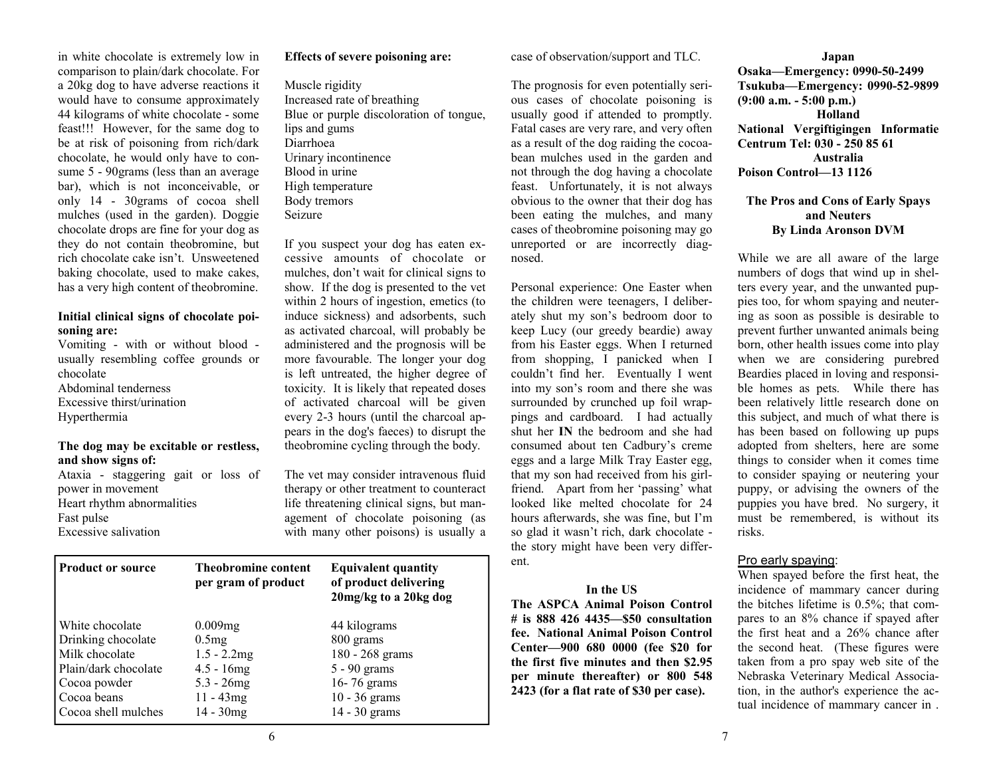in white chocolate is extremely low in comparison to plain/dark chocolate. For a 20kg dog to have adverse reactions it would have to consume approximately 44 kilograms of white chocolate - some feast!!! However, for the same dog to be at risk of poisoning from rich/dark chocolate, he would only have to consume 5 - 90grams (less than an average bar), which is not inconceivable, or only 14 - 30grams of cocoa shell mulches (used in the garden). Doggie chocolate drops are fine for your dog as they do not contain theobromine, but rich chocolate cake isn't. Unsweetened baking chocolate, used to make cakes, has a very high content of theobromine.

### **Initial clinical signs of chocolate poisoning are:**

Vomiting - with or without blood usually resembling coffee grounds or chocolate Abdominal tenderness Excessive thirst/urination Hyperthermia

## **The dog may be excitable or restless, and show signs of:**

Ataxia - staggering gait or loss of power in movement Heart rhythm abnormalities Fast pulse Excessive salivation

#### **Effects of severe poisoning are:**

Muscle rigidity

Increased rate of breathing Blue or purple discoloration of tongue, lips and gums Diarrhoea Urinary incontinence Blood in urine High temperature Body tremors Seizure

If you suspect your dog has eaten excessive amounts of chocolate or mulches, don't wait for clinical signs to show. If the dog is presented to the vet within 2 hours of ingestion, emetics (to induce sickness) and adsorbents, such as activated charcoal, will probably be administered and the prognosis will be more favourable. The longer your dog is left untreated, the higher degree of toxicity. It is likely that repeated doses of activated charcoal will be given every 2-3 hours (until the charcoal appears in the dog's faeces) to disrupt the theobromine cycling through the body.

The vet may consider intravenous fluid therapy or other treatment to counteract life threatening clinical signs, but management of chocolate poisoning (as with many other poisons) is usually a

| <b>Product or source</b> | <b>Theobromine content</b><br>per gram of product | <b>Equivalent quantity</b><br>of product delivering<br>20mg/kg to a 20kg dog |
|--------------------------|---------------------------------------------------|------------------------------------------------------------------------------|
| White chocolate          | 0.009mg                                           | 44 kilograms                                                                 |
| Drinking chocolate       | 0.5mg                                             | 800 grams                                                                    |
| Milk chocolate           | $1.5 - 2.2mg$                                     | 180 - 268 grams                                                              |
| Plain/dark chocolate     | $4.5 - 16mg$                                      | $5 - 90$ grams                                                               |
| Cocoa powder             | $5.3 - 26mg$                                      | 16-76 grams                                                                  |
| Cocoa beans              | $11 - 43mg$                                       | $10 - 36$ grams                                                              |
| Cocoa shell mulches      | $14 - 30mg$                                       | 14 - 30 grams                                                                |

case of observation/support and TLC.

The prognosis for even potentially serious cases of chocolate poisoning is usually good if attended to promptly. Fatal cases are very rare, and very often as a result of the dog raiding the cocoabean mulches used in the garden and not through the dog having a chocolate feast. Unfortunately, it is not always obvious to the owner that their dog has been eating the mulches, and many cases of theobromine poisoning may go unreported or are incorrectly diagnosed.

Personal experience: One Easter when the children were teenagers, I deliberately shut my son's bedroom door to keep Lucy (our greedy beardie) away from his Easter eggs. When I returned from shopping, I panicked when I couldn't find her. Eventually I went into my son's room and there she was surrounded by crunched up foil wrappings and cardboard. I had actually shut her **IN** the bedroom and she had consumed about ten Cadbury's creme eggs and a large Milk Tray Easter egg, that my son had received from his girlfriend. Apart from her 'passing' what looked like melted chocolate for 24 hours afterwards, she was fine, but I'm so glad it wasn't rich, dark chocolate the story might have been very different.

## **In the US**

**The ASPCA Animal Poison Control # is 888 426 4435—\$50 consultation fee. National Animal Poison Control Center—900 680 0000 (fee \$20 for the first five minutes and then \$2.95 per minute thereafter) or 800 548 2423 (for a flat rate of \$30 per case).** 

**Japan Osaka—Emergency: 0990-50-2499 Tsukuba—Emergency: 0990-52-9899 (9:00 a.m. - 5:00 p.m.) Holland National Vergiftigingen Informatie Centrum Tel: 030 - 250 85 61 Australia Poison Control—13 1126** 

#### **The Pros and Cons of Early Spays and Neuters By Linda Aronson DVM**

While we are all aware of the large numbers of dogs that wind up in shelters every year, and the unwanted puppies too, for whom spaying and neutering as soon as possible is desirable to prevent further unwanted animals being born, other health issues come into play when we are considering purebred Beardies placed in loving and responsible homes as pets. While there has been relatively little research done on this subject, and much of what there is has been based on following up pups adopted from shelters, here are some things to consider when it comes time to consider spaying or neutering your puppy, or advising the owners of the puppies you have bred. No surgery, it must be remembered, is without its risks.

## Pro early spaying:

When spayed before the first heat, the incidence of mammary cancer during the bitches lifetime is 0.5%; that compares to an 8% chance if spayed after the first heat and a 26% chance after the second heat. (These figures were taken from a pro spay web site of the Nebraska Veterinary Medical Association, in the author's experience the actual incidence of mammary cancer in .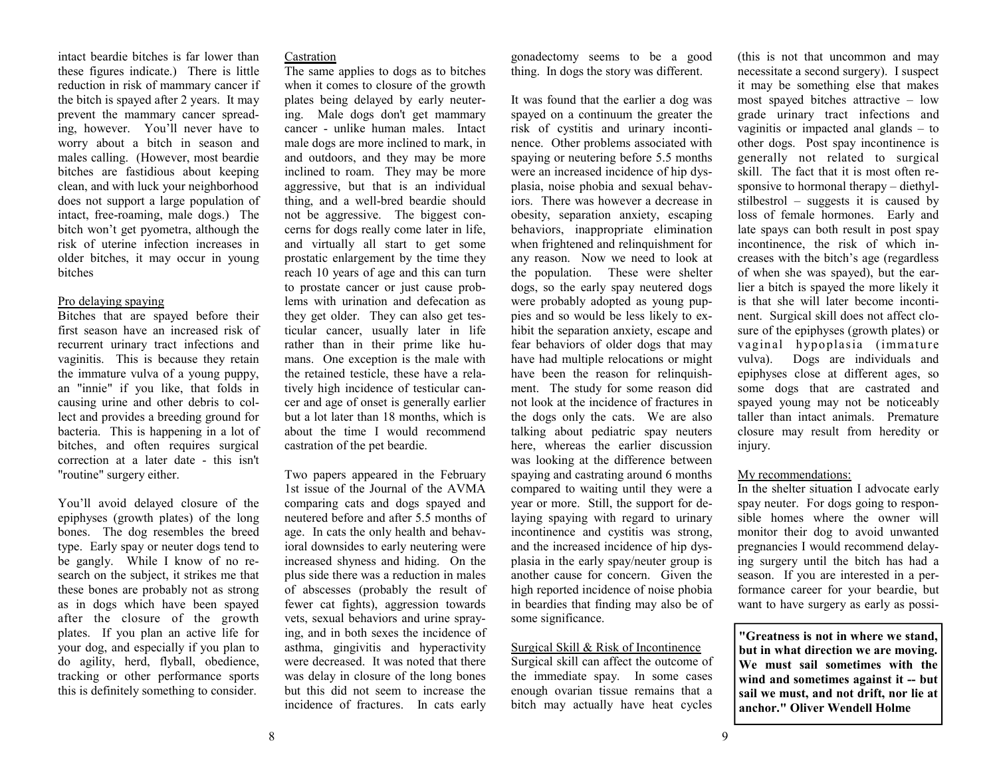intact beardie bitches is far lower than these figures indicate.) There is little reduction in risk of mammary cancer if the bitch is spayed after 2 years. It may prevent the mammary cancer spreading, however. You'll never have to worry about a bitch in season and males calling. (However, most beardie bitches are fastidious about keeping clean, and with luck your neighborhood does not support a large population of intact, free-roaming, male dogs.) The bitch won't get pyometra, although the risk of uterine infection increases in older bitches, it may occur in young bitches

#### Pro delaying spaying

Bitches that are spayed before their first season have an increased risk of recurrent urinary tract infections and vaginitis. This is because they retain the immature vulva of a young puppy, an "innie" if you like, that folds in causing urine and other debris to collect and provides a breeding ground for bacteria. This is happening in a lot of bitches, and often requires surgical correction at a later date - this isn't "routine" surgery either.

You'll avoid delayed closure of the epiphyses (growth plates) of the long bones. The dog resembles the breed type. Early spay or neuter dogs tend to be gangly. While I know of no research on the subject, it strikes me that these bones are probably not as strong as in dogs which have been spayed after the closure of the growth plates. If you plan an active life for your dog, and especially if you plan to do agility, herd, flyball, obedience, tracking or other performance sports this is definitely something to consider.

#### Castration

The same applies to dogs as to bitches when it comes to closure of the growth plates being delayed by early neutering. Male dogs don't get mammary cancer - unlike human males. Intact male dogs are more inclined to mark, in and outdoors, and they may be more inclined to roam. They may be more aggressive, but that is an individual thing, and a well-bred beardie should not be aggressive. The biggest concerns for dogs really come later in life, and virtually all start to get some prostatic enlargement by the time they reach 10 years of age and this can turn to prostate cancer or just cause problems with urination and defecation as they get older. They can also get testicular cancer, usually later in life rather than in their prime like humans. One exception is the male with the retained testicle, these have a relatively high incidence of testicular cancer and age of onset is generally earlier but a lot later than 18 months, which is about the time I would recommend castration of the pet beardie.

Two papers appeared in the February 1st issue of the Journal of the AVMA comparing cats and dogs spayed and neutered before and after 5.5 months of age. In cats the only health and behavioral downsides to early neutering were increased shyness and hiding. On the plus side there was a reduction in males of abscesses (probably the result of fewer cat fights), aggression towards vets, sexual behaviors and urine spraying, and in both sexes the incidence of asthma, gingivitis and hyperactivity were decreased. It was noted that there was delay in closure of the long bones but this did not seem to increase the incidence of fractures. In cats early

gonadectomy seems to be a good thing. In dogs the story was different.

It was found that the earlier a dog was spayed on a continuum the greater the risk of cystitis and urinary incontinence. Other problems associated with spaying or neutering before 5.5 months were an increased incidence of hip dysplasia, noise phobia and sexual behaviors. There was however a decrease in obesity, separation anxiety, escaping behaviors, inappropriate elimination when frightened and relinquishment for any reason. Now we need to look at the population. These were shelter dogs, so the early spay neutered dogs were probably adopted as young puppies and so would be less likely to exhibit the separation anxiety, escape and fear behaviors of older dogs that may have had multiple relocations or might have been the reason for relinquishment. The study for some reason did not look at the incidence of fractures in the dogs only the cats. We are also talking about pediatric spay neuters here, whereas the earlier discussion was looking at the difference between spaying and castrating around 6 months compared to waiting until they were a year or more. Still, the support for delaying spaying with regard to urinary incontinence and cystitis was strong, and the increased incidence of hip dysplasia in the early spay/neuter group is another cause for concern. Given the high reported incidence of noise phobia in beardies that finding may also be of some significance.

#### Surgical Skill & Risk of Incontinence

Surgical skill can affect the outcome of the immediate spay. In some cases enough ovarian tissue remains that a bitch may actually have heat cycles

(this is not that uncommon and may necessitate a second surgery). I suspect it may be something else that makes most spayed bitches attractive – low grade urinary tract infections and vaginitis or impacted anal glands – to other dogs. Post spay incontinence is generally not related to surgical skill. The fact that it is most often responsive to hormonal therapy – diethylstilbestrol – suggests it is caused by loss of female hormones. Early and late spays can both result in post spay incontinence, the risk of which increases with the bitch's age (regardless of when she was spayed), but the earlier a bitch is spayed the more likely it is that she will later become incontinent. Surgical skill does not affect closure of the epiphyses (growth plates) or vaginal hypoplasia (immature vulva). Dogs are individuals and epiphyses close at different ages, so some dogs that are castrated and spayed young may not be noticeably taller than intact animals. Premature closure may result from heredity or injury.

#### My recommendations:

In the shelter situation I advocate early spay neuter. For dogs going to responsible homes where the owner will monitor their dog to avoid unwanted pregnancies I would recommend delaying surgery until the bitch has had a season. If you are interested in a performance career for your beardie, but want to have surgery as early as possi-

**"Greatness is not in where we stand, but in what direction we are moving. We must sail sometimes with the wind and sometimes against it -- but sail we must, and not drift, nor lie at anchor." Oliver Wendell Holme**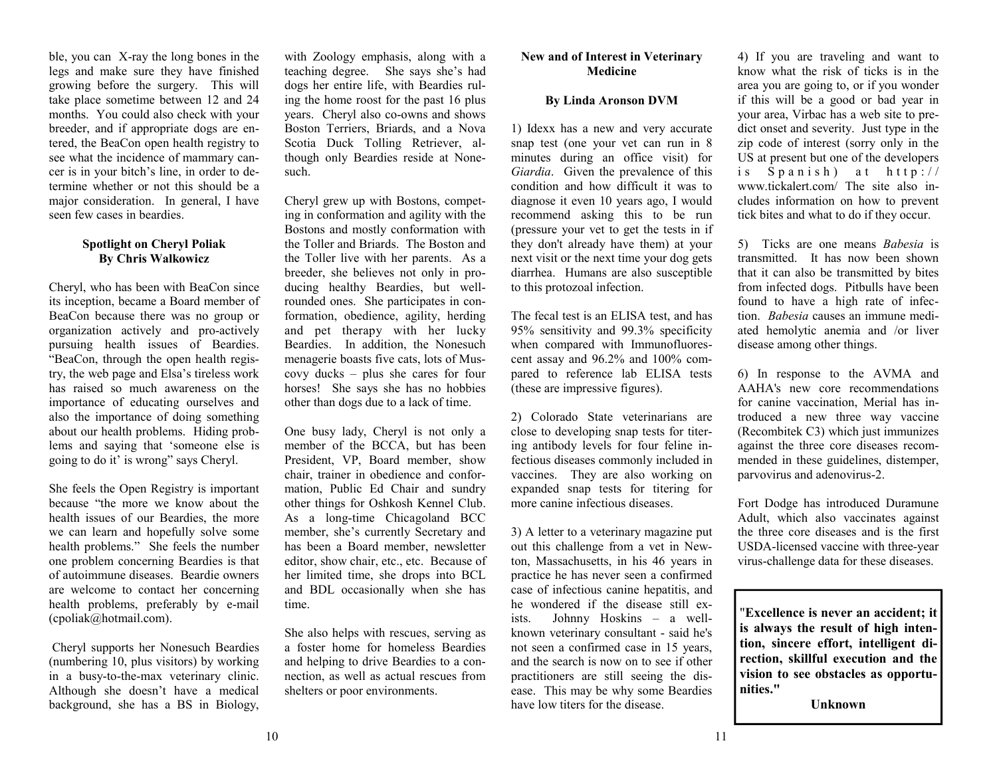ble, you can X-ray the long bones in the legs and make sure they have finished growing before the surgery. This will take place sometime between 12 and 24 months. You could also check with your breeder, and if appropriate dogs are entered, the BeaCon open health registry to see what the incidence of mammary cancer is in your bitch's line, in order to determine whether or not this should be a major consideration. In general, I have seen few cases in beardies.

## **Spotlight on Cheryl Poliak By Chris Walkowicz**

Cheryl, who has been with BeaCon since its inception, became a Board member of BeaCon because there was no group or organization actively and pro-actively pursuing health issues of Beardies. "BeaCon, through the open health registry, the web page and Elsa's tireless work has raised so much awareness on the importance of educating ourselves and also the importance of doing something about our health problems. Hiding problems and saying that 'someone else is going to do it' is wrong" says Cheryl.

She feels the Open Registry is important because "the more we know about the health issues of our Beardies, the more we can learn and hopefully solve some health problems." She feels the number one problem concerning Beardies is that of autoimmune diseases. Beardie owners are welcome to contact her concerning health problems, preferably by e-mail (cpoliak@hotmail.com).

 Cheryl supports her Nonesuch Beardies (numbering 10, plus visitors) by working in a busy-to-the-max veterinary clinic. Although she doesn't have a medical background, she has a BS in Biology,

with Zoology emphasis, along with a teaching degree. She says she's had dogs her entire life, with Beardies ruling the home roost for the past 16 plus years. Cheryl also co-owns and shows Boston Terriers, Briards, and a Nova Scotia Duck Tolling Retriever, although only Beardies reside at Nonesuch.

Cheryl grew up with Bostons, competing in conformation and agility with the Bostons and mostly conformation with the Toller and Briards. The Boston and the Toller live with her parents. As a breeder, she believes not only in producing healthy Beardies, but wellrounded ones. She participates in conformation, obedience, agility, herding and pet therapy with her lucky Beardies. In addition, the Nonesuch menagerie boasts five cats, lots of Muscovy ducks – plus she cares for four horses! She says she has no hobbies other than dogs due to a lack of time.

One busy lady, Cheryl is not only a member of the BCCA, but has been President, VP, Board member, show chair, trainer in obedience and conformation, Public Ed Chair and sundry other things for Oshkosh Kennel Club. As a long-time Chicagoland BCC member, she's currently Secretary and has been a Board member, newsletter editor, show chair, etc., etc. Because of her limited time, she drops into BCL and BDL occasionally when she has time.

She also helps with rescues, serving as a foster home for homeless Beardies and helping to drive Beardies to a connection, as well as actual rescues from shelters or poor environments.

#### **New and of Interest in Veterinary Medicine**

## **By Linda Aronson DVM**

1) Idexx has a new and very accurate snap test (one your vet can run in 8 minutes during an office visit) for *Giardia*. Given the prevalence of this condition and how difficult it was to diagnose it even 10 years ago, I would recommend asking this to be run (pressure your vet to get the tests in if they don't already have them) at your next visit or the next time your dog gets diarrhea. Humans are also susceptible to this protozoal infection.

The fecal test is an ELISA test, and has 95% sensitivity and 99.3% specificity when compared with Immunofluorescent assay and 96.2% and 100% compared to reference lab ELISA tests (these are impressive figures).

2) Colorado State veterinarians are close to developing snap tests for titering antibody levels for four feline infectious diseases commonly included in vaccines. They are also working on expanded snap tests for titering for more canine infectious diseases.

3) A letter to a veterinary magazine put out this challenge from a vet in Newton, Massachusetts, in his 46 years in practice he has never seen a confirmed case of infectious canine hepatitis, and he wondered if the disease still exists. Johnny Hoskins – a wellknown veterinary consultant - said he's not seen a confirmed case in 15 years, and the search is now on to see if other practitioners are still seeing the disease. This may be why some Beardies have low titers for the disease.

4) If you are traveling and want to know what the risk of ticks is in the area you are going to, or if you wonder if this will be a good or bad year in your area, Virbac has a web site to predict onset and severity. Just type in the zip code of interest (sorry only in the US at present but one of the developers is Spanish) at http:// www.tickalert.com/ The site also includes information on how to prevent tick bites and what to do if they occur.

5) Ticks are one means *Babesia* is transmitted. It has now been shown that it can also be transmitted by bites from infected dogs. Pitbulls have been found to have a high rate of infection. *Babesia* causes an immune mediated hemolytic anemia and /or liver disease among other things.

6) In response to the AVMA and AAHA's new core recommendations for canine vaccination, Merial has introduced a new three way vaccine (Recombitek C3) which just immunizes against the three core diseases recommended in these guidelines, distemper, parvovirus and adenovirus-2.

Fort Dodge has introduced Duramune Adult, which also vaccinates against the three core diseases and is the first USDA-licensed vaccine with three-year virus-challenge data for these diseases.

"**Excellence is never an accident; it is always the result of high intention, sincere effort, intelligent direction, skillful execution and the vision to see obstacles as opportunities."** 

**Unknown**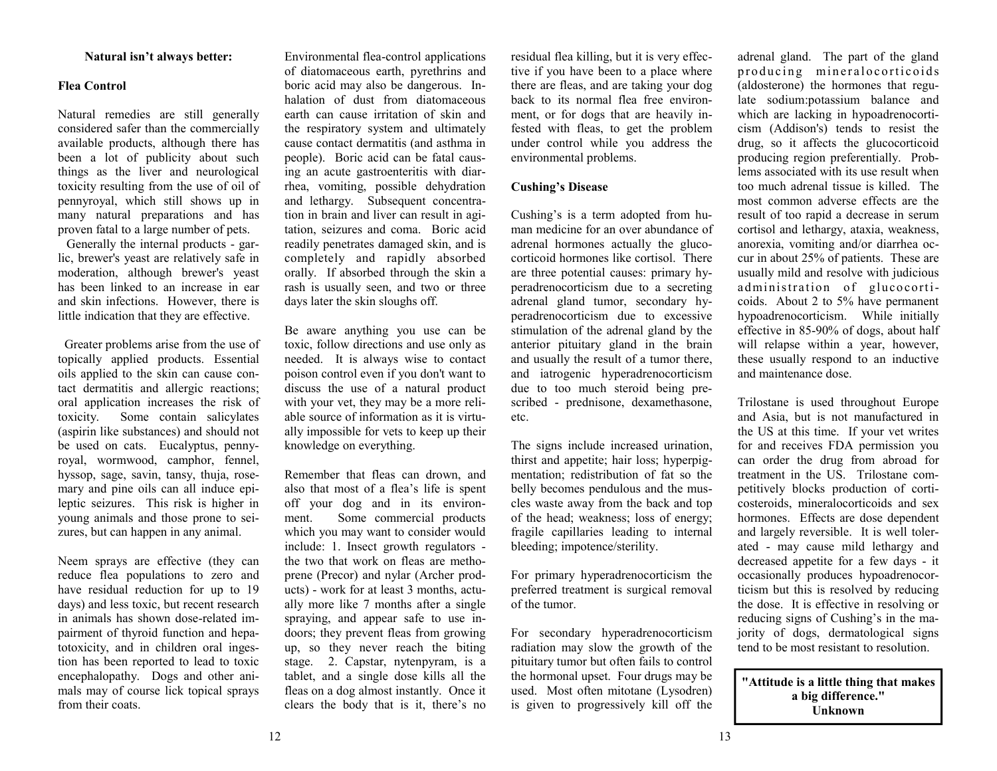#### **Natural isn't always better:**

#### **Flea Control**

Natural remedies are still generally considered safer than the commercially available products, although there has been a lot of publicity about such things as the liver and neurological toxicity resulting from the use of oil of pennyroyal, which still shows up in many natural preparations and has proven fatal to a large number of pets.

 Generally the internal products - garlic, brewer's yeast are relatively safe in moderation, although brewer's yeast has been linked to an increase in ear and skin infections. However, there is little indication that they are effective.

 Greater problems arise from the use of topically applied products. Essential oils applied to the skin can cause contact dermatitis and allergic reactions; oral application increases the risk of toxicity. Some contain salicylates (aspirin like substances) and should not be used on cats. Eucalyptus, pennyroyal, wormwood, camphor, fennel, hyssop, sage, savin, tansy, thuja, rosemary and pine oils can all induce epileptic seizures. This risk is higher in young animals and those prone to seizures, but can happen in any animal.

Neem sprays are effective (they can reduce flea populations to zero and have residual reduction for up to 19 days) and less toxic, but recent research in animals has shown dose-related impairment of thyroid function and hepatotoxicity, and in children oral ingestion has been reported to lead to toxic encephalopathy. Dogs and other animals may of course lick topical sprays from their coats

Environmental flea-control applications of diatomaceous earth, pyrethrins and boric acid may also be dangerous. Inhalation of dust from diatomaceous earth can cause irritation of skin and the respiratory system and ultimately cause contact dermatitis (and asthma in people). Boric acid can be fatal causing an acute gastroenteritis with diarrhea, vomiting, possible dehydration and lethargy. Subsequent concentration in brain and liver can result in agitation, seizures and coma. Boric acid readily penetrates damaged skin, and is completely and rapidly absorbed orally. If absorbed through the skin a rash is usually seen, and two or three days later the skin sloughs off.

Be aware anything you use can be toxic, follow directions and use only as needed. It is always wise to contact poison control even if you don't want to discuss the use of a natural product with your vet, they may be a more reliable source of information as it is virtually impossible for vets to keep up their knowledge on everything.

Remember that fleas can drown, and also that most of a flea's life is spent off your dog and in its environment. Some commercial products which you may want to consider would include: 1. Insect growth regulators the two that work on fleas are methoprene (Precor) and nylar (Archer products) - work for at least 3 months, actually more like 7 months after a single spraying, and appear safe to use indoors; they prevent fleas from growing up, so they never reach the biting stage. 2. Capstar, nytenpyram, is a tablet, and a single dose kills all the fleas on a dog almost instantly. Once it clears the body that is it, there's no

residual flea killing, but it is very effective if you have been to a place where there are fleas, and are taking your dog back to its normal flea free environment, or for dogs that are heavily infested with fleas, to get the problem under control while you address the environmental problems.

#### **Cushing's Disease**

Cushing's is a term adopted from human medicine for an over abundance of adrenal hormones actually the glucocorticoid hormones like cortisol. There are three potential causes: primary hyperadrenocorticism due to a secreting adrenal gland tumor, secondary hyperadrenocorticism due to excessive stimulation of the adrenal gland by the anterior pituitary gland in the brain and usually the result of a tumor there, and iatrogenic hyperadrenocorticism due to too much steroid being prescribed - prednisone, dexamethasone, etc.

The signs include increased urination, thirst and appetite; hair loss; hyperpigmentation; redistribution of fat so the belly becomes pendulous and the muscles waste away from the back and top of the head; weakness; loss of energy; fragile capillaries leading to internal bleeding; impotence/sterility.

For primary hyperadrenocorticism the preferred treatment is surgical removal of the tumor.

For secondary hyperadrenocorticism radiation may slow the growth of the pituitary tumor but often fails to control the hormonal upset. Four drugs may be used. Most often mitotane (Lysodren) is given to progressively kill off the adrenal gland. The part of the gland producing mineralocorticoids (aldosterone) the hormones that regulate sodium:potassium balance and which are lacking in hypoadrenocorticism (Addison's) tends to resist the drug, so it affects the glucocorticoid producing region preferentially. Problems associated with its use result when too much adrenal tissue is killed. The most common adverse effects are the result of too rapid a decrease in serum cortisol and lethargy, ataxia, weakness, anorexia, vomiting and/or diarrhea occur in about 25% of patients. These are usually mild and resolve with judicious administration of glucocorticoids. About 2 to 5% have permanent hypoadrenocorticism. While initially effective in 85-90% of dogs, about half will relapse within a year, however, these usually respond to an inductive and maintenance dose.

Trilostane is used throughout Europe and Asia, but is not manufactured in the US at this time. If your vet writes for and receives FDA permission you can order the drug from abroad for treatment in the US. Trilostane competitively blocks production of corticosteroids, mineralocorticoids and sex hormones. Effects are dose dependent and largely reversible. It is well tolerated - may cause mild lethargy and decreased appetite for a few days - it occasionally produces hypoadrenocorticism but this is resolved by reducing the dose. It is effective in resolving or reducing signs of Cushing's in the majority of dogs, dermatological signs tend to be most resistant to resolution.

**"Attitude is a little thing that makes a big difference." Unknown**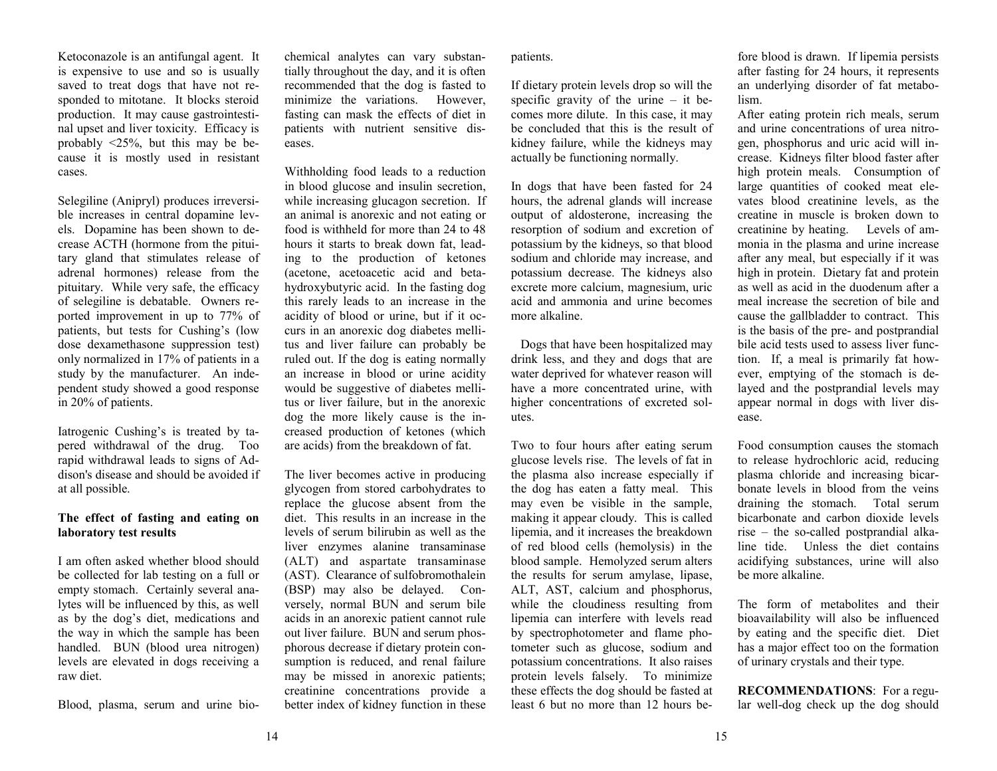Ketoconazole is an antifungal agent. It is expensive to use and so is usually saved to treat dogs that have not responded to mitotane. It blocks steroid production. It may cause gastrointestinal upset and liver toxicity. Efficacy is probably <25%, but this may be because it is mostly used in resistant cases.

Selegiline (Anipryl) produces irreversible increases in central dopamine levels. Dopamine has been shown to decrease ACTH (hormone from the pituitary gland that stimulates release of adrenal hormones) release from the pituitary. While very safe, the efficacy of selegiline is debatable. Owners reported improvement in up to 77% of patients, but tests for Cushing's (low dose dexamethasone suppression test) only normalized in 17% of patients in a study by the manufacturer. An independent study showed a good response in 20% of patients.

Iatrogenic Cushing's is treated by tapered withdrawal of the drug. Too rapid withdrawal leads to signs of Addison's disease and should be avoided if at all possible.

#### **The effect of fasting and eating on laboratory test results**

I am often asked whether blood should be collected for lab testing on a full or empty stomach. Certainly several analytes will be influenced by this, as well as by the dog's diet, medications and the way in which the sample has been handled. BUN (blood urea nitrogen) levels are elevated in dogs receiving a raw diet.

Blood, plasma, serum and urine bio-

chemical analytes can vary substan tially throughout the day, and it is often recommended that the dog is fasted to minimize the variations. However, fasting can mask the effects of diet in patients with nutrient sensitive dis-

eases.<br>Withholding food leads to a reduction<br>in blood glucose and insulin secretion,<br>while increasing glucagon secretion. If<br>an animal is anorexic and not eating or<br>food is withheld for more than 24 to 48<br>hours it starts t ing to the production of ketones (acetone, acetoacetic acid and beta hydroxybutyric acid. In the fasting dog this rarely leads to an increase in the acidity of blood or urine, but if it oc curs in an anorexic dog diabetes melli ruled out. If the dog is eating normally an increase in blood or urine acidity would be suggestive of diabetes mellitus or liver failure, but in the anorexic dog the more likely cause is the in-

creased production of ketones (which<br>are acids) from the breakdown of fat.<br>The liver becomes active in producing<br>glycogen from stored carbohydrates to<br>replace the glucose absent from the<br>diet. This results in an increase i versely, normal BUN and serum bile acids in an anorexic patient cannot rule out liver failure. BUN and serum phos phorous decrease if dietary protein con-

cheral analysis can vay substant patients particle. The main is the look drawn. This may be a strained and the substantinuous interest the control of the term in the main of the substantinuous interest the substantinuous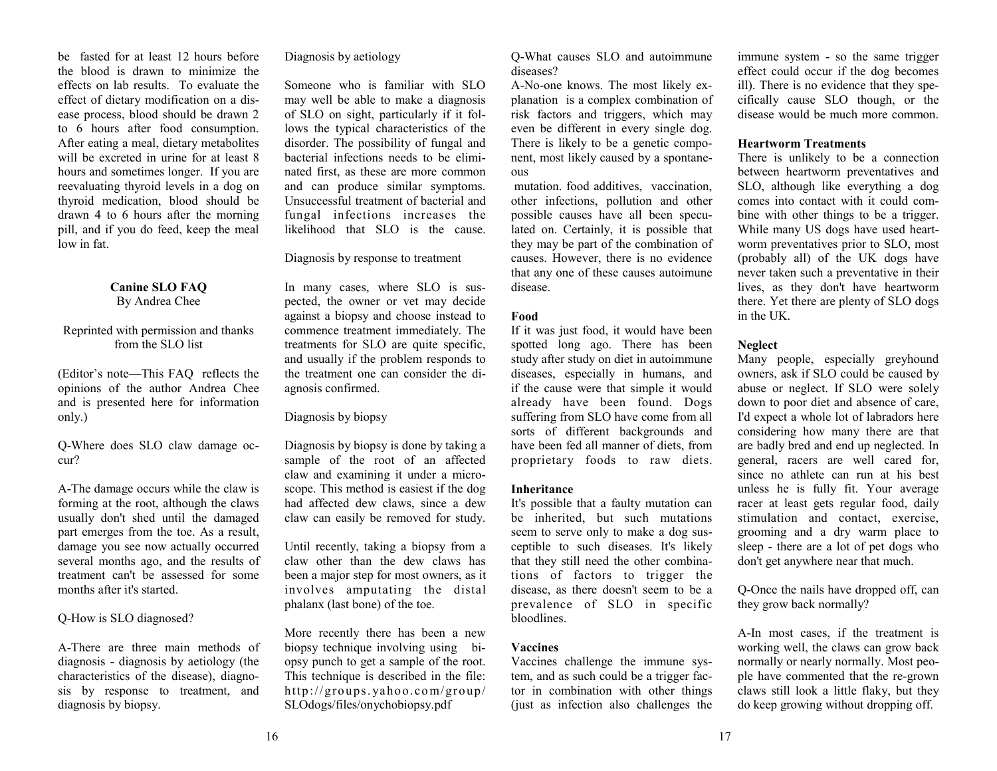be fasted for at least 12 hours before the blood is drawn to minimize the effects on lab results. To evaluate the effect of dietary modification on a disease process, blood should be drawn 2 to 6 hours after food consumption. After eating a meal, dietary metabolites will be excreted in urine for at least 8 hours and sometimes longer. If you are reevaluating thyroid levels in a dog on thyroid medication, blood should be drawn 4 to 6 hours after the morning pill, and if you do feed, keep the meal low in fat.

#### **Canine SLO FAQ**  By Andrea Chee

Reprinted with permission and thanks from the SLO list

(Editor's note—This FAQ reflects the opinions of the author Andrea Chee and is presented here for information only.)

Q-Where does SLO claw damage occur?

A-The damage occurs while the claw is forming at the root, although the claws usually don't shed until the damaged part emerges from the toe. As a result, damage you see now actually occurred several months ago, and the results of treatment can't be assessed for some months after it's started.

#### Q-How is SLO diagnosed?

A-There are three main methods of diagnosis - diagnosis by aetiology (the characteristics of the disease), diagnosis by response to treatment, and diagnosis by biopsy.

Diagnosis by aetiology

Someone who is familiar with SLO may well be able to make a diagnosis of SLO on sight, particularly if it follows the typical characteristics of the disorder. The possibility of fungal and bacterial infections needs to be eliminated first, as these are more common and can produce similar symptoms. Unsuccessful treatment of bacterial and fungal infections increases the likelihood that SLO is the cause.

Diagnosis by response to treatment

In many cases, where SLO is suspected, the owner or vet may decide against a biopsy and choose instead to commence treatment immediately. The treatments for SLO are quite specific, and usually if the problem responds to the treatment one can consider the diagnosis confirmed.

Diagnosis by biopsy

Diagnosis by biopsy is done by taking a sample of the root of an affected claw and examining it under a microscope. This method is easiest if the dog had affected dew claws, since a dew claw can easily be removed for study.

Until recently, taking a biopsy from a claw other than the dew claws has been a major step for most owners, as it involves amputating the distal phalanx (last bone) of the toe.

More recently there has been a new biopsy technique involving using biopsy punch to get a sample of the root. This technique is described in the file: http://groups.yahoo.com/group/ SLOdogs/files/onychobiopsy.pdf

Q-What causes SLO and autoimmune diseases?

A-No-one knows. The most likely explanation is a complex combination of risk factors and triggers, which may even be different in every single dog. There is likely to be a genetic component, most likely caused by a spontaneous

 mutation. food additives, vaccination, other infections, pollution and other possible causes have all been speculated on. Certainly, it is possible that they may be part of the combination of causes. However, there is no evidence that any one of these causes autoimune disease.

# **Food**

If it was just food, it would have been spotted long ago. There has been study after study on diet in autoimmune diseases, especially in humans, and if the cause were that simple it would already have been found. Dogs suffering from SLO have come from all sorts of different backgrounds and have been fed all manner of diets, from proprietary foods to raw diets.

## **Inheritance**

It's possible that a faulty mutation can be inherited, but such mutations seem to serve only to make a dog susceptible to such diseases. It's likely that they still need the other combinations of factors to trigger the disease, as there doesn't seem to be a prevalence of SLO in specific **bloodlines** 

# **Vaccines**

Vaccines challenge the immune system, and as such could be a trigger factor in combination with other things (just as infection also challenges the immune system - so the same trigger effect could occur if the dog becomes ill). There is no evidence that they specifically cause SLO though, or the disease would be much more common.

# **Heartworm Treatments**

There is unlikely to be a connection between heartworm preventatives and SLO, although like everything a dog comes into contact with it could combine with other things to be a trigger. While many US dogs have used heartworm preventatives prior to SLO, most (probably all) of the UK dogs have never taken such a preventative in their lives, as they don't have heartworm there. Yet there are plenty of SLO dogs in the UK.

# **Neglect**

Many people, especially greyhound owners, ask if SLO could be caused by abuse or neglect. If SLO were solely down to poor diet and absence of care, I'd expect a whole lot of labradors here considering how many there are that are badly bred and end up neglected. In general, racers are well cared for, since no athlete can run at his best unless he is fully fit. Your average racer at least gets regular food, daily stimulation and contact, exercise, grooming and a dry warm place to sleep - there are a lot of pet dogs who don't get anywhere near that much.

Q-Once the nails have dropped off, can they grow back normally?

A-In most cases, if the treatment is working well, the claws can grow back normally or nearly normally. Most people have commented that the re-grown claws still look a little flaky, but they do keep growing without dropping off.